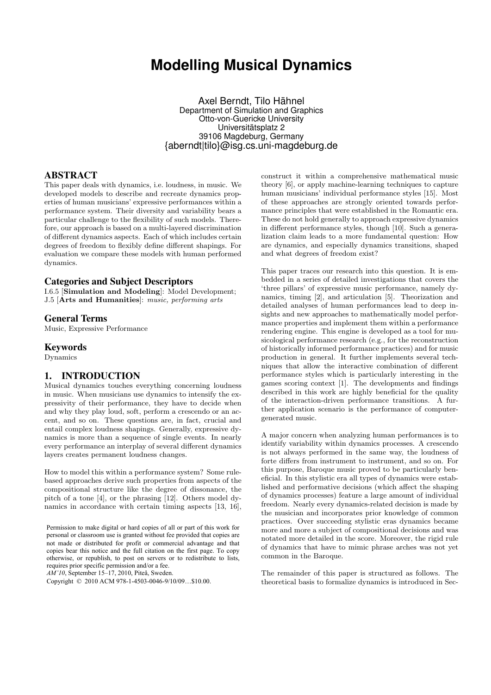# **Modelling Musical Dynamics**

Axel Berndt, Tilo Hähnel Department of Simulation and Graphics Otto-von-Guericke University Universitätsplatz 2 39106 Magdeburg, Germany {aberndt|tilo}@isg.cs.uni-magdeburg.de

## ABSTRACT

This paper deals with dynamics, i.e. loudness, in music. We developed models to describe and recreate dynamics properties of human musicians' expressive performances within a performance system. Their diversity and variability bears a particular challenge to the flexibility of such models. Therefore, our approach is based on a multi-layered discrimination of different dynamics aspects. Each of which includes certain degrees of freedom to flexibly define different shapings. For evaluation we compare these models with human performed dynamics.

## Categories and Subject Descriptors

I.6.5 [Simulation and Modeling]: Model Development; J.5 [Arts and Humanities]: music, performing arts

#### General Terms

Music, Expressive Performance

## Keywords

Dynamics

## 1. INTRODUCTION

Musical dynamics touches everything concerning loudness in music. When musicians use dynamics to intensify the expressivity of their performance, they have to decide when and why they play loud, soft, perform a crescendo or an accent, and so on. These questions are, in fact, crucial and entail complex loudness shapings. Generally, expressive dynamics is more than a sequence of single events. In nearly every performance an interplay of several different dynamics layers creates permanent loudness changes.

How to model this within a performance system? Some rulebased approaches derive such properties from aspects of the compositional structure like the degree of dissonance, the pitch of a tone [4], or the phrasing [12]. Others model dynamics in accordance with certain timing aspects [13, 16],

Permission to make digital or hard copies of all or part of this work for personal or classroom use is granted without fee provided that copies are not made or distributed for profit or commercial advantage and that copies bear this notice and the full citation on the first page. To copy otherwise, or republish, to post on servers or to redistribute to lists, requires prior specific permission and/or a fee.

*AM'10*, September 15–17, 2010, Piteå, Sweden.

Copyright © 2010 ACM 978-1-4503-0046-9/10/09…\$10.00.

construct it within a comprehensive mathematical music theory [6], or apply machine-learning techniques to capture human musicians' individual performance styles [15]. Most of these approaches are strongly oriented towards performance principles that were established in the Romantic era. These do not hold generally to approach expressive dynamics in different performance styles, though [10]. Such a generalization claim leads to a more fundamental question: How are dynamics, and especially dynamics transitions, shaped and what degrees of freedom exist?

This paper traces our research into this question. It is embedded in a series of detailed investigations that covers the 'three pillars' of expressive music performance, namely dynamics, timing [2], and articulation [5]. Theorization and detailed analyses of human performances lead to deep insights and new approaches to mathematically model performance properties and implement them within a performance rendering engine. This engine is developed as a tool for musicological performance research (e.g., for the reconstruction of historically informed performance practices) and for music production in general. It further implements several techniques that allow the interactive combination of different performance styles which is particularly interesting in the games scoring context [1]. The developments and findings described in this work are highly beneficial for the quality of the interaction-driven performance transitions. A further application scenario is the performance of computergenerated music.

A major concern when analyzing human performances is to identify variability within dynamics processes. A crescendo is not always performed in the same way, the loudness of forte differs from instrument to instrument, and so on. For this purpose, Baroque music proved to be particularly beneficial. In this stylistic era all types of dynamics were established and performative decisions (which affect the shaping of dynamics processes) feature a large amount of individual freedom. Nearly every dynamics-related decision is made by the musician and incorporates prior knowledge of common practices. Over succeeding stylistic eras dynamics became more and more a subject of compositional decisions and was notated more detailed in the score. Moreover, the rigid rule of dynamics that have to mimic phrase arches was not yet common in the Baroque.

The remainder of this paper is structured as follows. The theoretical basis to formalize dynamics is introduced in Sec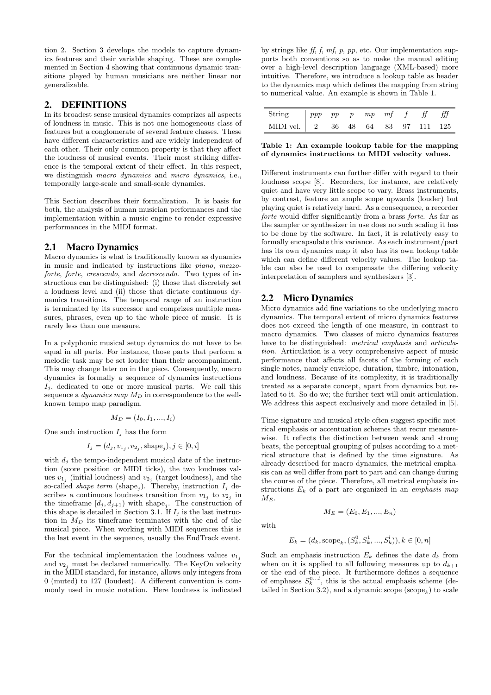tion 2. Section 3 develops the models to capture dynamics features and their variable shaping. These are complemented in Section 4 showing that continuous dynamic transitions played by human musicians are neither linear nor generalizable.

## 2. DEFINITIONS

In its broadest sense musical dynamics comprizes all aspects of loudness in music. This is not one homogeneous class of features but a conglomerate of several feature classes. These have different characteristics and are widely independent of each other. Their only common property is that they affect the loudness of musical events. Their most striking difference is the temporal extent of their effect. In this respect, we distinguish macro dynamics and micro dynamics, i.e., temporally large-scale and small-scale dynamics.

This Section describes their formalization. It is basis for both, the analysis of human musician performances and the implementation within a music engine to render expressive performances in the MIDI format.

## 2.1 Macro Dynamics

Macro dynamics is what is traditionally known as dynamics in music and indicated by instructions like piano, mezzoforte, forte, crescendo, and decrescendo. Two types of instructions can be distinguished: (i) those that discretely set a loudness level and (ii) those that dictate continuous dynamics transitions. The temporal range of an instruction is terminated by its successor and comprizes multiple measures, phrases, even up to the whole piece of music. It is rarely less than one measure.

In a polyphonic musical setup dynamics do not have to be equal in all parts. For instance, those parts that perform a melodic task may be set louder than their accompaniment. This may change later on in the piece. Consequently, macro dynamics is formally a sequence of dynamics instructions  $I_i$ , dedicated to one or more musical parts. We call this sequence a dynamics map  $M_D$  in correspondence to the wellknown tempo map paradigm.

$$
M_D = (I_0, I_1, ..., I_i)
$$

One such instruction  $I_i$  has the form

$$
I_j = (d_j, v_{1_j}, v_{2_j}, \text{shape}_j), j \in [0, i]
$$

with  $d_i$  the tempo-independent musical date of the instruction (score position or MIDI ticks), the two loudness values  $v_{1j}$  (initial loudness) and  $v_{2j}$  (target loudness), and the so-called *shape term* (shape<sub>j</sub>). Thereby, instruction  $I_j$  describes a continuous loudness transition from  $v_{1j}$  to  $v_{2j}$  in the timeframe  $[d_j, d_{j+1})$  with shape<sub>j</sub>. The construction of this shape is detailed in Section 3.1. If  $I_i$  is the last instruction in  $M_D$  its timeframe terminates with the end of the musical piece. When working with MIDI sequences this is the last event in the sequence, usually the EndTrack event.

For the technical implementation the loudness values  $v_{1,i}$ and  $v_{2i}$  must be declared numerically. The KeyOn velocity in the MIDI standard, for instance, allows only integers from 0 (muted) to 127 (loudest). A different convention is commonly used in music notation. Here loudness is indicated

by strings like ff, f,  $mf, p, pp$ , etc. Our implementation supports both conventions so as to make the manual editing over a high-level description language (XML-based) more intuitive. Therefore, we introduce a lookup table as header to the dynamics map which defines the mapping from string to numerical value. An example is shown in Table 1.

| String $\begin{array}{ c c c c c c } \hline \end{array}$ ppp pp pp mp mf f ff fff |  |  |  |  |
|-----------------------------------------------------------------------------------|--|--|--|--|
| MIDI vel. 2 36 48 64 83 97 111 125                                                |  |  |  |  |

Table 1: An example lookup table for the mapping of dynamics instructions to MIDI velocity values.

Different instruments can further differ with regard to their loudness scope [8]. Recorders, for instance, are relatively quiet and have very little scope to vary. Brass instruments, by contrast, feature an ample scope upwards (louder) but playing quiet is relatively hard. As a consequence, a recorder forte would differ significantly from a brass forte. As far as the sampler or synthesizer in use does no such scaling it has to be done by the software. In fact, it is relatively easy to formally encapsulate this variance. As each instrument/part has its own dynamics map it also has its own lookup table which can define different velocity values. The lookup table can also be used to compensate the differing velocity interpretation of samplers and synthesizers [3].

#### 2.2 Micro Dynamics

Micro dynamics add fine variations to the underlying macro dynamics. The temporal extent of micro dynamics features does not exceed the length of one measure, in contrast to macro dynamics. Two classes of micro dynamics features have to be distinguished: *metrical emphasis* and *articula*tion. Articulation is a very comprehensive aspect of music performance that affects all facets of the forming of each single notes, namely envelope, duration, timbre, intonation, and loudness. Because of its complexity, it is traditionally treated as a separate concept, apart from dynamics but related to it. So do we; the further text will omit articulation. We address this aspect exclusively and more detailed in [5].

Time signature and musical style often suggest specific metrical emphasis or accentuation schemes that recur measurewise. It reflects the distinction between weak and strong beats, the perceptual grouping of pulses according to a metrical structure that is defined by the time signature. As already described for macro dynamics, the metrical emphasis can as well differ from part to part and can change during the course of the piece. Therefore, all metrical emphasis instructions  $E_k$  of a part are organized in an *emphasis map*  $M_E$ .

with

$$
M_E = (E_0, E_1, ..., E_n)
$$

$$
E_k = (d_k, \text{scope}_k, (S_k^0, S_k^1, ..., S_k^l)), k \in [0, n]
$$

Such an emphasis instruction  $E_k$  defines the date  $d_k$  from when on it is applied to all following measures up to  $d_{k+1}$ or the end of the piece. It furthermore defines a sequence of emphases  $S_k^{0...l}$ , this is the actual emphasis scheme (detailed in Section 3.2), and a dynamic scope  $(\text{scope}_k)$  to scale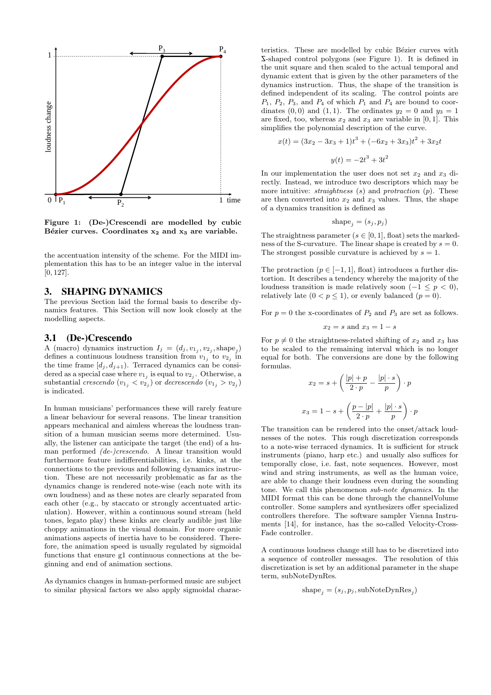

Figure 1: (De-)Crescendi are modelled by cubic Bézier curves. Coordinates  $x_2$  and  $x_3$  are variable.

the accentuation intensity of the scheme. For the MIDI implementation this has to be an integer value in the interval [0, 127].

#### 3. SHAPING DYNAMICS

The previous Section laid the formal basis to describe dynamics features. This Section will now look closely at the modelling aspects.

#### 3.1 (De-)Crescendo

A (macro) dynamics instruction  $I_j = (d_j, v_{1_j}, v_{2_j}, \text{shape}_j)$ defines a continuous loudness transition from  $v_{1j}$  to  $v_{2j}$  in the time frame  $[d_j, d_{j+1})$ . Terraced dynamics can be considered as a special case where  $v_{1j}$  is equal to  $v_{2j}$ . Otherwise, a substantial *crescendo*  $(v_{1j} < v_{2j})$  or *decrescendo*  $(v_{1j} > v_{2j})$ is indicated.

In human musicians' performances these will rarely feature a linear behaviour for several reasons. The linear transition appears mechanical and aimless whereas the loudness transition of a human musician seems more determined. Usually, the listener can anticipate the target (the end) of a human performed (de-)crescendo. A linear transition would furthermore feature indifferentiabilities, i.e. kinks, at the connections to the previous and following dynamics instruction. These are not necessarily problematic as far as the dynamics change is rendered note-wise (each note with its own loudness) and as these notes are clearly separated from each other (e.g., by staccato or strongly accentuated articulation). However, within a continuous sound stream (held tones, legato play) these kinks are clearly audible just like choppy animations in the visual domain. For more organic animations aspects of inertia have to be considered. Therefore, the animation speed is usually regulated by sigmoidal functions that ensure g1 continuous connections at the beginning and end of animation sections.

As dynamics changes in human-performed music are subject to similar physical factors we also apply sigmoidal charac-

teristics. These are modelled by cubic Bézier curves with <sup>Z</sup>-shaped control polygons (see Figure 1). It is defined in the unit square and then scaled to the actual temporal and dynamic extent that is given by the other parameters of the dynamics instruction. Thus, the shape of the transition is defined independent of its scaling. The control points are  $P_1$ ,  $P_2$ ,  $P_3$ , and  $P_4$  of which  $P_1$  and  $P_4$  are bound to coordinates  $(0, 0)$  and  $(1, 1)$ . The ordinates  $y_2 = 0$  and  $y_3 = 1$ are fixed, too, whereas  $x_2$  and  $x_3$  are variable in [0, 1]. This simplifies the polynomial description of the curve.

$$
x(t) = (3x2 - 3x3 + 1)t3 + (-6x2 + 3x3)t2 + 3x2t
$$

$$
y(t) = -2t3 + 3t2
$$

In our implementation the user does not set  $x_2$  and  $x_3$  directly. Instead, we introduce two descriptors which may be more intuitive:  $straightness(s)$  and  $protraction(p)$ . These are then converted into  $x_2$  and  $x_3$  values. Thus, the shape of a dynamics transition is defined as

$$
\mathrm{shape}_j = (s_j, p_j)
$$

The straightness parameter ( $s \in [0, 1]$ , float) sets the markedness of the S-curvature. The linear shape is created by  $s = 0$ . The strongest possible curvature is achieved by  $s = 1$ .

The protraction ( $p \in [-1, 1]$ , float) introduces a further distortion. It describes a tendency whereby the majority of the loudness transition is made relatively soon  $(-1 \leq p < 0)$ , relatively late  $(0 < p \le 1)$ , or evenly balanced  $(p = 0)$ .

For  $p = 0$  the x-coordinates of  $P_2$  and  $P_3$  are set as follows.

$$
x_2 = s \text{ and } x_3 = 1 - s
$$

For  $p \neq 0$  the straightness-related shifting of  $x_2$  and  $x_3$  has to be scaled to the remaining interval which is no longer equal for both. The conversions are done by the following formulas.

$$
x_2 = s + \left(\frac{|p| + p}{2 \cdot p} - \frac{|p| \cdot s}{p}\right) \cdot p
$$

$$
x_3 = 1 - s + \left(\frac{p - |p|}{2 \cdot p} + \frac{|p| \cdot s}{p}\right) \cdot p
$$

The transition can be rendered into the onset/attack loudnesses of the notes. This rough discretization corresponds to a note-wise terraced dynamics. It is sufficient for struck instruments (piano, harp etc.) and usually also suffices for temporally close, i.e. fast, note sequences. However, most wind and string instruments, as well as the human voice, are able to change their loudness even during the sounding tone. We call this phenomenon sub-note dynamics. In the MIDI format this can be done through the channelVolume controller. Some samplers and synthesizers offer specialized controllers therefore. The software sampler Vienna Instruments [14], for instance, has the so-called Velocity-Cross-Fade controller.

A continuous loudness change still has to be discretized into a sequence of controller messages. The resolution of this discretization is set by an additional parameter in the shape term, subNoteDynRes.

$$
shape_j = (s_j, p_j, subNoteDynRes_j)
$$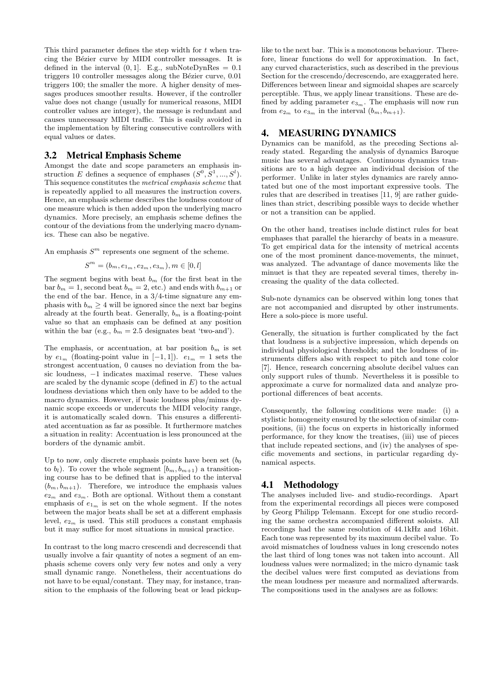This third parameter defines the step width for  $t$  when tracing the Bézier curve by MIDI controller messages. It is defined in the interval  $(0, 1]$ . E.g., subNoteDynRes = 0.1 triggers 10 controller messages along the Bézier curve, 0.01 triggers 100; the smaller the more. A higher density of messages produces smoother results. However, if the controller value does not change (usually for numerical reasons, MIDI controller values are integer), the message is redundant and causes unnecessary MIDI traffic. This is easily avoided in the implementation by filtering consecutive controllers with equal values or dates.

#### 3.2 Metrical Emphasis Scheme

Amongst the date and scope parameters an emphasis instruction E defines a sequence of emphases  $(S^0, S^1, ..., S^l)$ . This sequence constitutes the metrical emphasis scheme that is repeatedly applied to all measures the instruction covers. Hence, an emphasis scheme describes the loudness contour of one measure which is then added upon the underlying macro dynamics. More precisely, an emphasis scheme defines the contour of the deviations from the underlying macro dynamics. These can also be negative.

An emphasis  $S^m$  represents one segment of the scheme.

$$
S^m = (b_m, e_{1_m}, e_{2_m}, e_{3_m}), m \in [0, l]
$$

The segment begins with beat  $b_m$  (for the first beat in the bar  $b_m = 1$ , second beat  $b_m = 2$ , etc.) and ends with  $b_{m+1}$  or the end of the bar. Hence, in a 3/4-time signature any emphasis with  $b_m \geq 4$  will be ignored since the next bar begins already at the fourth beat. Generally,  $b_m$  is a floating-point value so that an emphasis can be defined at any position within the bar (e.g.,  $b_m = 2.5$  designates beat 'two-and').

The emphasis, or accentuation, at bar position  $b_m$  is set by  $e_{1_m}$  (floating-point value in [−1, 1]).  $e_{1_m} = 1$  sets the strongest accentuation, 0 causes no deviation from the basic loudness, −1 indicates maximal reserve. These values are scaled by the dynamic scope (defined in  $E$ ) to the actual loudness deviations which then only have to be added to the macro dynamics. However, if basic loudness plus/minus dynamic scope exceeds or undercuts the MIDI velocity range, it is automatically scaled down. This ensures a differentiated accentuation as far as possible. It furthermore matches a situation in reality: Accentuation is less pronounced at the borders of the dynamic ambit.

Up to now, only discrete emphasis points have been set  $(b_0)$ to  $b_l$ ). To cover the whole segment  $[b_m, b_{m+1}]$  a transitioning course has to be defined that is applied to the interval  $(b_m, b_{m+1})$ . Therefore, we introduce the emphasis values  $e_{2m}$  and  $e_{3m}$ . Both are optional. Without them a constant emphasis of  $e_{1m}$  is set on the whole segment. If the notes between the major beats shall be set at a different emphasis level,  $e_{2m}$  is used. This still produces a constant emphasis but it may suffice for most situations in musical practice.

In contrast to the long macro crescendi and decrescendi that usually involve a fair quantity of notes a segment of an emphasis scheme covers only very few notes and only a very small dynamic range. Nonetheless, their accentuations do not have to be equal/constant. They may, for instance, transition to the emphasis of the following beat or lead pickup-

like to the next bar. This is a monotonous behaviour. Therefore, linear functions do well for approximation. In fact, any curved characteristics, such as described in the previous Section for the crescendo/decrescendo, are exaggerated here. Differences between linear and sigmoidal shapes are scarcely perceptible. Thus, we apply linear transitions. These are defined by adding parameter  $e_{3m}$ . The emphasis will now run from  $e_{2m}$  to  $e_{3m}$  in the interval  $(b_m, b_{m+1})$ .

#### 4. MEASURING DYNAMICS

Dynamics can be manifold, as the preceding Sections already stated. Regarding the analysis of dynamics Baroque music has several advantages. Continuous dynamics transitions are to a high degree an individual decision of the performer. Unlike in later styles dynamics are rarely annotated but one of the most important expressive tools. The rules that are described in treatises [11, 9] are rather guidelines than strict, describing possible ways to decide whether or not a transition can be applied.

On the other hand, treatises include distinct rules for beat emphases that parallel the hierarchy of beats in a measure. To get empirical data for the intensity of metrical accents one of the most prominent dance-movements, the minuet, was analyzed. The advantage of dance movements like the minuet is that they are repeated several times, thereby increasing the quality of the data collected.

Sub-note dynamics can be observed within long tones that are not accompanied and disrupted by other instruments. Here a solo-piece is more useful.

Generally, the situation is further complicated by the fact that loudness is a subjective impression, which depends on individual physiological thresholds; and the loudness of instruments differs also with respect to pitch and tone color [7]. Hence, research concerning absolute decibel values can only support rules of thumb. Nevertheless it is possible to approximate a curve for normalized data and analyze proportional differences of beat accents.

Consequently, the following conditions were made: (i) a stylistic homogeneity ensured by the selection of similar compositions, (ii) the focus on experts in historically informed performance, for they know the treatises, (iii) use of pieces that include repeated sections, and (iv) the analyses of specific movements and sections, in particular regarding dynamical aspects.

## 4.1 Methodology

The analyses included live- and studio-recordings. Apart from the experimental recordings all pieces were composed by Georg Philipp Telemann. Except for one studio recording the same orchestra accompanied different soloists. All recordings had the same resolution of 44.1kHz and 16bit. Each tone was represented by its maximum decibel value. To avoid mismatches of loudness values in long crescendo notes the last third of long tones was not taken into account. All loudness values were normalized; in the micro dynamic task the decibel values were first computed as deviations from the mean loudness per measure and normalized afterwards. The compositions used in the analyses are as follows: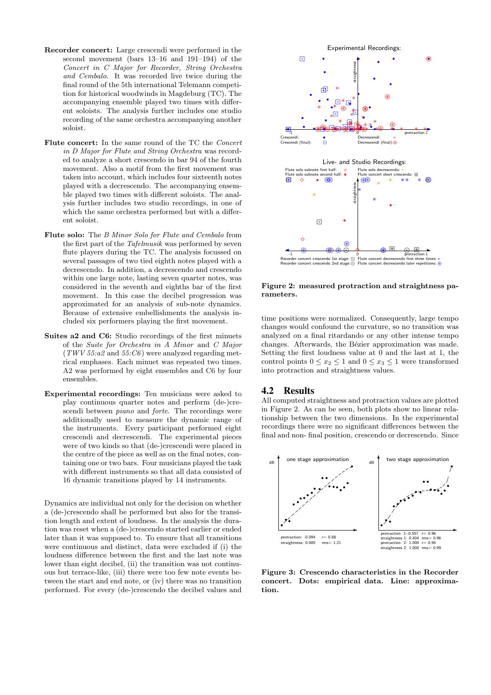- Recorder concert: Large crescendi were performed in the second movement (bars 13–16 and 191–194) of the Concert in C Major for Recorder, String Orchestra and Cembalo. It was recorded live twice during the final round of the 5th international Telemann competition for historical woodwinds in Magdeburg (TC). The accompanying ensemble played two times with different soloists. The analysis further includes one studio recording of the same orchestra accompanying another soloist.
- Flute concert: In the same round of the TC the Concert in D Major for Flute and String Orchestra was recorded to analyze a short crescendo in bar 94 of the fourth movement. Also a motif from the first movement was taken into account, which includes four sixteenth notes played with a decrescendo. The accompanying ensemble played two times with different soloists. The analysis further includes two studio recordings, in one of which the same orchestra performed but with a different soloist.
- Flute solo: The B Minor Solo for Flute and Cembalo from the first part of the Tafelmusik was performed by seven flute players during the TC. The analysis focussed on several passages of two tied eighth notes played with a decrescendo. In addition, a decrescendo and crescendo within one large note, lasting seven quarter notes, was considered in the seventh and eighths bar of the first movement. In this case the decibel progression was approximated for an analysis of sub-note dynamics. Because of extensive embellishments the analysis included six performers playing the first movement.
- Suites a2 and C6: Studio recordings of the first minuets of the Suite for Orchestra in A Minor and C Major  $(TWV 55:a2 \text{ and } 55:C6)$  were analyzed regarding metrical emphases. Each minuet was repeated two times. A2 was performed by eight ensembles and C6 by four ensembles.
- Experimental recordings: Ten musicians were asked to play continuous quarter notes and perform (de-)crescendi between piano and forte. The recordings were additionally used to measure the dynamic range of the instruments. Every participant performed eight crescendi and decrescendi. The experimental pieces were of two kinds so that (de-)crescendi were placed in the centre of the piece as well as on the final notes, containing one or two bars. Four musicians played the task with different instruments so that all data consisted of 16 dynamic transitions played by 14 instruments.

Dynamics are individual not only for the decision on whether a (de-)crescendo shall be performed but also for the transition length and extent of loudness. In the analysis the duration was reset when a (de-)crescendo started earlier or ended later than it was supposed to. To ensure that all transitions were continuous and distinct, data were excluded if (i) the loudness difference between the first and the last note was lower than eight decibel, (ii) the transition was not continuous but terrace-like, (iii) there were too few note events between the start and end note, or (iv) there was no transition performed. For every (de-)crescendo the decibel values and



Figure 2: measured protraction and straightness parameters.

time positions were normalized. Consequently, large tempo changes would confound the curvature, so no transition was analyzed on a final ritardando or any other intense tempo changes. Afterwards, the Bézier approximation was made. Setting the first loudness value at 0 and the last at 1, the control points  $0 \le x_2 \le 1$  and  $0 \le x_3 \le 1$  were transformed into protraction and straightness values.

## 4.2 Results

All computed straightness and protraction values are plotted in Figure 2. As can be seen, both plots show no linear relationship between the two dimensions. In the experimental recordings there were no significant differences between the final and non- final position, crescendo or decrescendo. Since



Figure 3: Crescendo characteristics in the Recorder concert. Dots: empirical data. Line: approximation.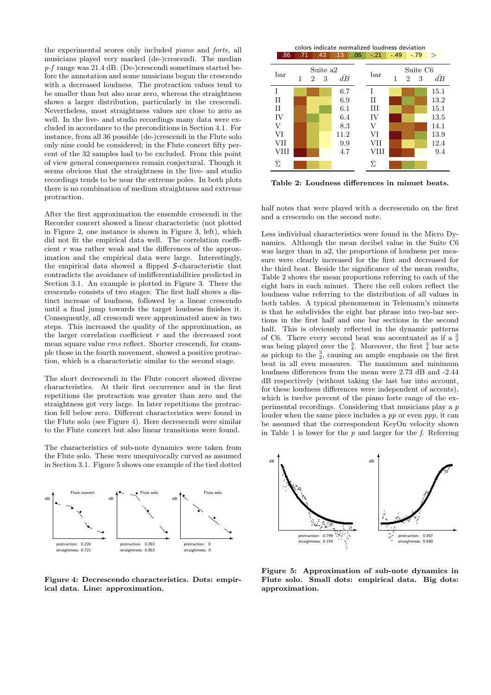the experimental scores only included piano and forte, all musicians played very marked (de-)crescendi. The median p-f range was 21.4 dB. (De-)crescendi sometimes started before the annotation and some musicians begun the crescendo with a decreased loudness. The protraction values tend to be smaller than but also near zero, whereas the straightness shows a larger distribution, particularly in the crescendi. Nevertheless, most straightness values are close to zero as well. In the live- and studio recordings many data were excluded in accordance to the preconditions in Section 4.1. For instance, from all 36 possible (de-)crescendi in the Flute solo only nine could be considered; in the Flute concert fifty percent of the 32 samples had to be excluded. From this point of view general consequences remain conjectural. Though it seems obvious that the straightness in the live- and studio recordings tends to be near the extreme poles. In both plots there is no combination of medium straightness and extreme protraction.

After the first approximation the ensemble crescendi in the Recorder concert showed a linear characteristic (not plotted in Figure 2, one instance is shown in Figure 3, left), which did not fit the empirical data well. The correlation coefficient  $r$  was rather weak and the differences of the approximation and the empirical data were large. Interestingly, the empirical data showed a flipped S-characteristic that contradicts the avoidance of indifferentiabilities predicted in Section 3.1. An example is plotted in Figure 3. There the crescendo consists of two stages: The first half shows a distinct increase of loudness, followed by a linear crescendo until a final jump towards the target loudness finishes it. Consequently, all crescendi were approximated anew in two steps. This increased the quality of the approximation, as the larger correlation coefficient  $r$  and the decreased root mean square value rms reflect. Shorter crescendi, for example those in the fourth movement, showed a positive protraction, which is a characteristic similar to the second stage.

The short decrescendi in the Flute concert showed diverse characteristics. At their first occurrence and in the first repetitions the protraction was greater than zero and the straightness got very large. In later repetitions the protraction fell below zero. Different characteristics were found in the Flute solo (see Figure 4). Here decrescendi were similar to the Flute concert but also linear transitions were found.

The characteristics of sub-note dynamics were taken from the Flute solo. These were unequivocally curved as assumed in Section 3.1. Figure 5 shows one example of the tied dotted



Figure 4: Decrescendo characteristics. Dots: empirical data. Line: approximation.

colors indicate normalized loudness deviation  $.86$   $.71$   $.43$   $.13$   $.06$   $-.21$   $-.49$   $-.79$  >

| bar            | Suite a <sub>2</sub><br>$\bar{dB}$<br>3<br>1<br>2 |  |  | bar  | 1    | $\overline{2}$ | Suite C <sub>6</sub><br>3 | $d\bar{B}$ |      |
|----------------|---------------------------------------------------|--|--|------|------|----------------|---------------------------|------------|------|
| T              |                                                   |  |  | 6.7  | T    |                |                           |            | 15.1 |
| $_{II}$        |                                                   |  |  | 6.9  | П    |                |                           |            | 13.2 |
| $_{II}$        |                                                   |  |  | 6.1  | Ш    |                |                           |            | 15.1 |
| IV             |                                                   |  |  | 6.4  | IV   |                |                           |            | 13.5 |
| V              |                                                   |  |  | 8.3  | V    |                |                           |            | 14.1 |
| VI             |                                                   |  |  | 11.2 | VI   |                |                           |            | 13.9 |
| VII            |                                                   |  |  | 9.9  | VII  |                |                           |            | 12.4 |
| VIII           |                                                   |  |  | 4.7  | VIII |                |                           |            | 9.4  |
| $\bar{\Sigma}$ |                                                   |  |  |      | Ē    |                |                           |            |      |

Table 2: Loudness differences in minuet beats.

half notes that were played with a decrescendo on the first and a crescendo on the second note.

Less individual characteristics were found in the Micro Dynamics. Although the mean decibel value in the Suite C6 was larger than in a2, the proportions of loudness per measure were clearly increased for the first and decreased for the third beat. Beside the significance of the mean results, Table 2 shows the mean proportions referring to each of the eight bars in each minuet. There the cell colors reflect the loudness value referring to the distribution of all values in both tables. A typical phenomenon in Telemann's minuets is that he subdivides the eight bar phrase into two-bar sections in the first half and one bar sections in the second half. This is obviously reflected in the dynamic patterns of C6. There every second beat was accentuated as if a  $\frac{3}{2}$ was being played over the  $\frac{3}{4}$ . Moreover, the first  $\frac{3}{4}$  bar acts as pickup to the  $\frac{3}{2}$ , causing an ample emphasis on the first beat in all even measures. The maximum and minimum loudness differences from the mean were 2.73 dB and -2.44 dB respectively (without taking the last bar into account, for these loudness differences were independent of accents), which is twelve percent of the piano forte range of the experimental recordings. Considering that musicians play a p louder when the same piece includes a pp or even ppp, it can be assumed that the correspondent KeyOn velocity shown in Table 1 is lower for the  $p$  and larger for the  $f$ . Referring



Figure 5: Approximation of sub-note dynamics in Flute solo. Small dots: empirical data. Big dots: approximation.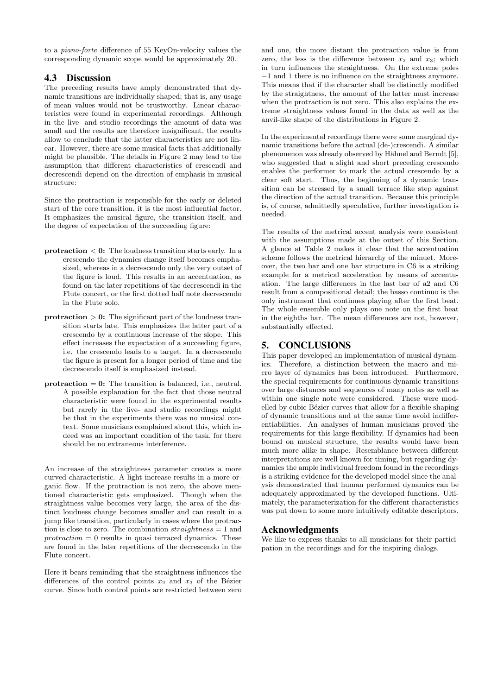to a piano-forte difference of 55 KeyOn-velocity values the corresponding dynamic scope would be approximately 20.

## 4.3 Discussion

The preceding results have amply demonstrated that dynamic transitions are individually shaped; that is, any usage of mean values would not be trustworthy. Linear characteristics were found in experimental recordings. Although in the live- and studio recordings the amount of data was small and the results are therefore insignificant, the results allow to conclude that the latter characteristics are not linear. However, there are some musical facts that additionally might be plausible. The details in Figure 2 may lead to the assumption that different characteristics of crescendi and decrescendi depend on the direction of emphasis in musical structure:

Since the protraction is responsible for the early or deleted start of the core transition, it is the most influential factor. It emphasizes the musical figure, the transition itself, and the degree of expectation of the succeeding figure:

- protraction  $\leq 0$ : The loudness transition starts early. In a crescendo the dynamics change itself becomes emphasized, whereas in a decrescendo only the very outset of the figure is loud. This results in an accentuation, as found on the later repetitions of the decrescendi in the Flute concert, or the first dotted half note decrescendo in the Flute solo.
- protraction  $> 0$ : The significant part of the loudness transition starts late. This emphasizes the latter part of a crescendo by a continuous increase of the slope. This effect increases the expectation of a succeeding figure, i.e. the crescendo leads to a target. In a decrescendo the figure is present for a longer period of time and the decrescendo itself is emphasized instead.
- $protraction = 0$ : The transition is balanced, i.e., neutral. A possible explanation for the fact that those neutral characteristic were found in the experimental results but rarely in the live- and studio recordings might be that in the experiments there was no musical context. Some musicians complained about this, which indeed was an important condition of the task, for there should be no extraneous interference.

An increase of the straightness parameter creates a more curved characteristic. A light increase results in a more organic flow. If the protraction is not zero, the above mentioned characteristic gets emphasized. Though when the straightness value becomes very large, the area of the distinct loudness change becomes smaller and can result in a jump like transition, particularly in cases where the protraction is close to zero. The combination  $straightness = 1$  and  $protraction = 0$  results in quasi terraced dynamics. These are found in the later repetitions of the decrescendo in the Flute concert.

Here it bears reminding that the straightness influences the differences of the control points  $x_2$  and  $x_3$  of the Bézier curve. Since both control points are restricted between zero

and one, the more distant the protraction value is from zero, the less is the difference between  $x_2$  and  $x_3$ ; which in turn influences the straightness. On the extreme poles −1 and 1 there is no influence on the straightness anymore. This means that if the character shall be distinctly modified by the straightness, the amount of the latter must increase when the protraction is not zero. This also explains the extreme straightness values found in the data as well as the anvil-like shape of the distributions in Figure 2.

In the experimental recordings there were some marginal dynamic transitions before the actual (de-)crescendi. A similar phenomenon was already observed by Hähnel and Berndt [5], who suggested that a slight and short preceding crescendo enables the performer to mark the actual crescendo by a clear soft start. Thus, the beginning of a dynamic transition can be stressed by a small terrace like step against the direction of the actual transition. Because this principle is, of course, admittedly speculative, further investigation is needed.

The results of the metrical accent analysis were consistent with the assumptions made at the outset of this Section. A glance at Table 2 makes it clear that the accentuation scheme follows the metrical hierarchy of the minuet. Moreover, the two bar and one bar structure in C6 is a striking example for a metrical acceleration by means of accentuation. The large differences in the last bar of a2 and C6 result from a compositional detail; the basso continuo is the only instrument that continues playing after the first beat. The whole ensemble only plays one note on the first beat in the eighths bar. The mean differences are not, however, substantially effected.

## 5. CONCLUSIONS

This paper developed an implementation of musical dynamics. Therefore, a distinction between the macro and micro layer of dynamics has been introduced. Furthermore, the special requirements for continuous dynamic transitions over large distances and sequences of many notes as well as within one single note were considered. These were modelled by cubic Bézier curves that allow for a flexible shaping of dynamic transitions and at the same time avoid indifferentiabilities. An analyses of human musicians proved the requirements for this large flexibility. If dynamics had been bound on musical structure, the results would have been much more alike in shape. Resemblance between different interpretations are well known for timing, but regarding dynamics the ample individual freedom found in the recordings is a striking evidence for the developed model since the analysis demonstrated that human performed dynamics can be adequately approximated by the developed functions. Ultimately, the parameterization for the different characteristics was put down to some more intuitively editable descriptors.

## Acknowledgments

We like to express thanks to all musicians for their participation in the recordings and for the inspiring dialogs.